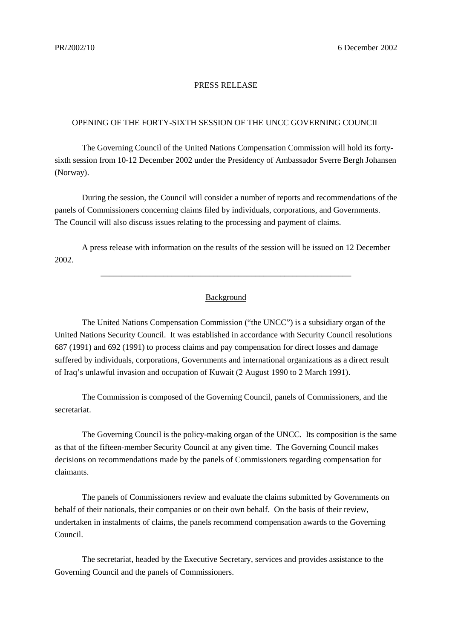## PRESS RELEASE

## OPENING OF THE FORTY-SIXTH SESSION OF THE UNCC GOVERNING COUNCIL

The Governing Council of the United Nations Compensation Commission will hold its fortysixth session from 10-12 December 2002 under the Presidency of Ambassador Sverre Bergh Johansen (Norway).

During the session, the Council will consider a number of reports and recommendations of the panels of Commissioners concerning claims filed by individuals, corporations, and Governments. The Council will also discuss issues relating to the processing and payment of claims.

A press release with information on the results of the session will be issued on 12 December 2002.

## Background

\_\_\_\_\_\_\_\_\_\_\_\_\_\_\_\_\_\_\_\_\_\_\_\_\_\_\_\_\_\_\_\_\_\_\_\_\_\_\_\_\_\_\_\_\_\_\_\_\_\_\_\_\_\_\_\_\_\_\_\_

The United Nations Compensation Commission ("the UNCC") is a subsidiary organ of the United Nations Security Council. It was established in accordance with Security Council resolutions 687 (1991) and 692 (1991) to process claims and pay compensation for direct losses and damage suffered by individuals, corporations, Governments and international organizations as a direct result of Iraq's unlawful invasion and occupation of Kuwait (2 August 1990 to 2 March 1991).

The Commission is composed of the Governing Council, panels of Commissioners, and the secretariat.

The Governing Council is the policy-making organ of the UNCC. Its composition is the same as that of the fifteen-member Security Council at any given time. The Governing Council makes decisions on recommendations made by the panels of Commissioners regarding compensation for claimants.

The panels of Commissioners review and evaluate the claims submitted by Governments on behalf of their nationals, their companies or on their own behalf. On the basis of their review, undertaken in instalments of claims, the panels recommend compensation awards to the Governing Council.

The secretariat, headed by the Executive Secretary, services and provides assistance to the Governing Council and the panels of Commissioners.